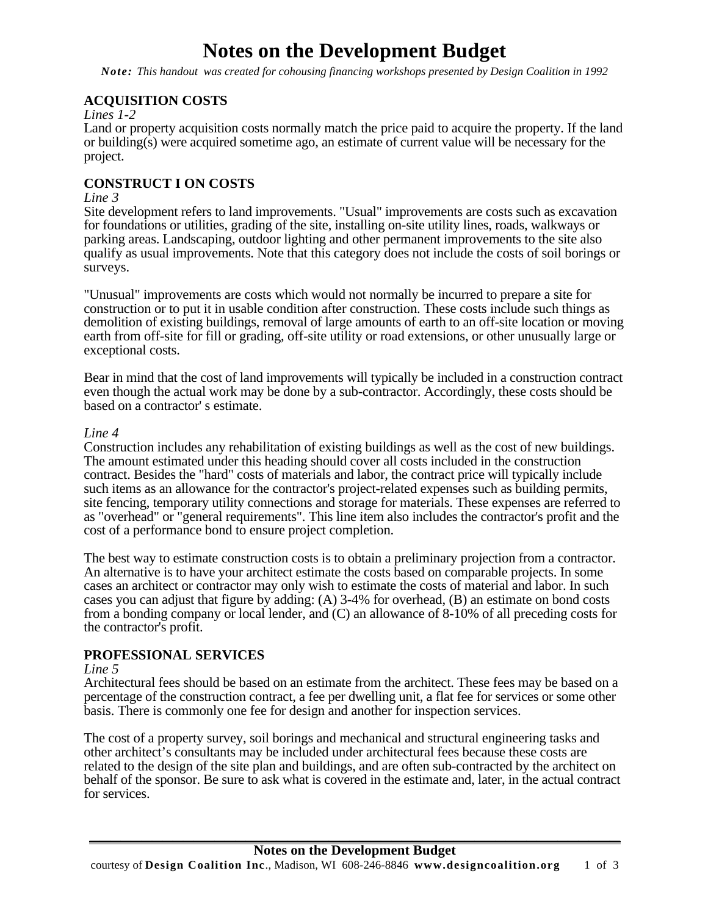# **Notes on the Development Budget**

*Note: This handout was created for cohousing financing workshops presented by Design Coalition in 1992* 

# **ACQUISITION COSTS**

#### *Lines 1-2*

Land or property acquisition costs normally match the price paid to acquire the property. If the land or building(s) were acquired sometime ago, an estimate of current value will be necessary for the project.

# **CONSTRUCT I ON COSTS**

#### *Line 3*

Site development refers to land improvements. "Usual" improvements are costs such as excavation for foundations or utilities, grading of the site, installing on-site utility lines, roads, walkways or parking areas. Landscaping, outdoor lighting and other permanent improvements to the site also qualify as usual improvements. Note that this category does not include the costs of soil borings or surveys.

"Unusual" improvements are costs which would not normally be incurred to prepare a site for construction or to put it in usable condition after construction. These costs include such things as demolition of existing buildings, removal of large amounts of earth to an off-site location or moving earth from off-site for fill or grading, off-site utility or road extensions, or other unusually large or exceptional costs.

Bear in mind that the cost of land improvements will typically be included in a construction contract even though the actual work may be done by a sub-contractor. Accordingly, these costs should be based on a contractor' s estimate.

#### *Line 4*

Construction includes any rehabilitation of existing buildings as well as the cost of new buildings. The amount estimated under this heading should cover all costs included in the construction contract. Besides the "hard" costs of materials and labor, the contract price will typically include such items as an allowance for the contractor's project-related expenses such as building permits, site fencing, temporary utility connections and storage for materials. These expenses are referred to as "overhead" or "general requirements". This line item also includes the contractor's profit and the cost of a performance bond to ensure project completion.

The best way to estimate construction costs is to obtain a preliminary projection from a contractor. An alternative is to have your architect estimate the costs based on comparable projects. In some cases an architect or contractor may only wish to estimate the costs of material and labor. In such cases you can adjust that figure by adding: (A) 3-4% for overhead, (B) an estimate on bond costs from a bonding company or local lender, and (C) an allowance of 8-10% of all preceding costs for the contractor's profit.

#### **PROFESSIONAL SERVICES**

#### *Line 5*

Architectural fees should be based on an estimate from the architect. These fees may be based on a percentage of the construction contract, a fee per dwelling unit, a flat fee for services or some other basis. There is commonly one fee for design and another for inspection services.

The cost of a property survey, soil borings and mechanical and structural engineering tasks and other architect's consultants may be included under architectural fees because these costs are related to the design of the site plan and buildings, and are often sub-contracted by the architect on behalf of the sponsor. Be sure to ask what is covered in the estimate and, later, in the actual contract for services.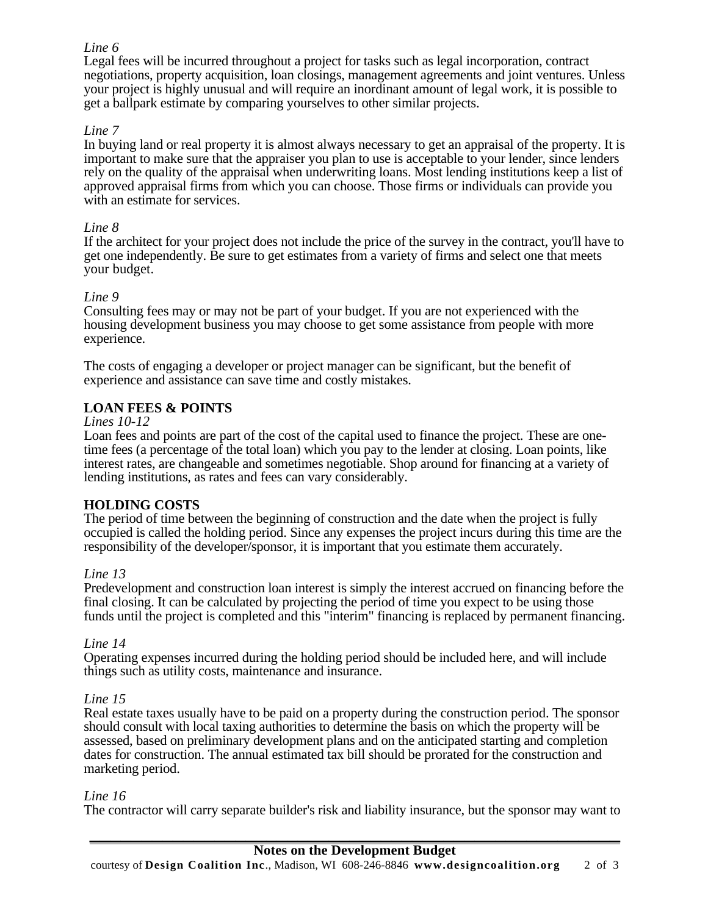# *Line 6*

Legal fees will be incurred throughout a project for tasks such as legal incorporation, contract negotiations, property acquisition, loan closings, management agreements and joint ventures. Unless your project is highly unusual and will require an inordinant amount of legal work, it is possible to get a ballpark estimate by comparing yourselves to other similar projects.

# *Line 7*

In buying land or real property it is almost always necessary to get an appraisal of the property. It is important to make sure that the appraiser you plan to use is acceptable to your lender, since lenders rely on the quality of the appraisal when underwriting loans. Most lending institutions keep a list of approved appraisal firms from which you can choose. Those firms or individuals can provide you with an estimate for services.

### *Line 8*

If the architect for your project does not include the price of the survey in the contract, you'll have to get one independently. Be sure to get estimates from a variety of firms and select one that meets your budget.

#### *Line 9*

Consulting fees may or may not be part of your budget. If you are not experienced with the housing development business you may choose to get some assistance from people with more experience.

The costs of engaging a developer or project manager can be significant, but the benefit of experience and assistance can save time and costly mistakes.

# **LOAN FEES & POINTS**

#### *Lines 10-12*

Loan fees and points are part of the cost of the capital used to finance the project. These are onetime fees (a percentage of the total loan) which you pay to the lender at closing. Loan points, like interest rates, are changeable and sometimes negotiable. Shop around for financing at a variety of lending institutions, as rates and fees can vary considerably.

# **HOLDING COSTS**

The period of time between the beginning of construction and the date when the project is fully occupied is called the holding period. Since any expenses the project incurs during this time are the responsibility of the developer/sponsor, it is important that you estimate them accurately.

#### *Line 13*

Predevelopment and construction loan interest is simply the interest accrued on financing before the final closing. It can be calculated by projecting the period of time you expect to be using those funds until the project is completed and this "interim" financing is replaced by permanent financing.

#### *Line 14*

Operating expenses incurred during the holding period should be included here, and will include things such as utility costs, maintenance and insurance.

#### *Line 15*

Real estate taxes usually have to be paid on a property during the construction period. The sponsor should consult with local taxing authorities to determine the basis on which the property will be assessed, based on preliminary development plans and on the anticipated starting and completion dates for construction. The annual estimated tax bill should be prorated for the construction and marketing period.

#### *Line 16*

The contractor will carry separate builder's risk and liability insurance, but the sponsor may want to